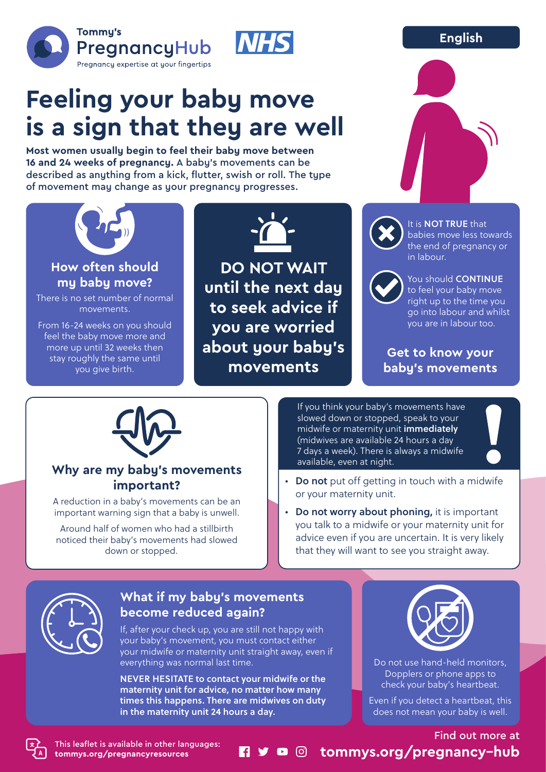### **English**





# **Feeling your baby move is a sign that they are well**

**Most women usually begin to feel their baby move between 16 and 24 weeks of pregnancy.** A baby's movements can be described as anything from a kick, flutter, swish or roll. The type of movement may change as your pregnancy progresses.



**How often should my baby move?**

There is no set number of normal movements.

From 16-24 weeks on you should feel the baby move more and more up until 32 weeks then stay roughly the same until you give birth.



**DO NOT WAIT until the next day to seek advice if you are worried about your baby's movements**



It is **NOT TRUE** that babies move less towards the end of pregnancy or in labour.



You should **CONTINUE** to feel your baby move right up to the time you go into labour and whilst you are in labour too.

**Get to know your baby's movements**



#### **Why are my baby's movements important?**

A reduction in a baby's movements can be an important warning sign that a baby is unwell.

Around half of women who had a stillbirth noticed their baby's movements had slowed down or stopped.

If you think your baby's movements have slowed down or stopped, speak to your midwife or maternity unit immediately (midwives are available 24 hours a day 7 days a week). There is always a midwife available, even at night.

- Do not put off getting in touch with a midwife or your maternity unit.
- Do not worry about phoning, it is important you talk to a midwife or your maternity unit for advice even if you are uncertain. It is very likely that they will want to see you straight away.



## **What if my baby's movements become reduced again?**

If, after your check up, you are still not happy with your baby's movement, you must contact either your midwife or maternity unit straight away, even if everything was normal last time.

NEVER HESITATE to contact your midwife or the maternity unit for advice, no matter how many times this happens. There are midwives on duty in the maternity unit 24 hours a day.



Do not use hand-held monitors, Dopplers or phone apps to check your baby's heartbeat.

Even if you detect a heartbeat, this does not mean your baby is well.

Find out more at **tommys.org/pregnancy-hub**